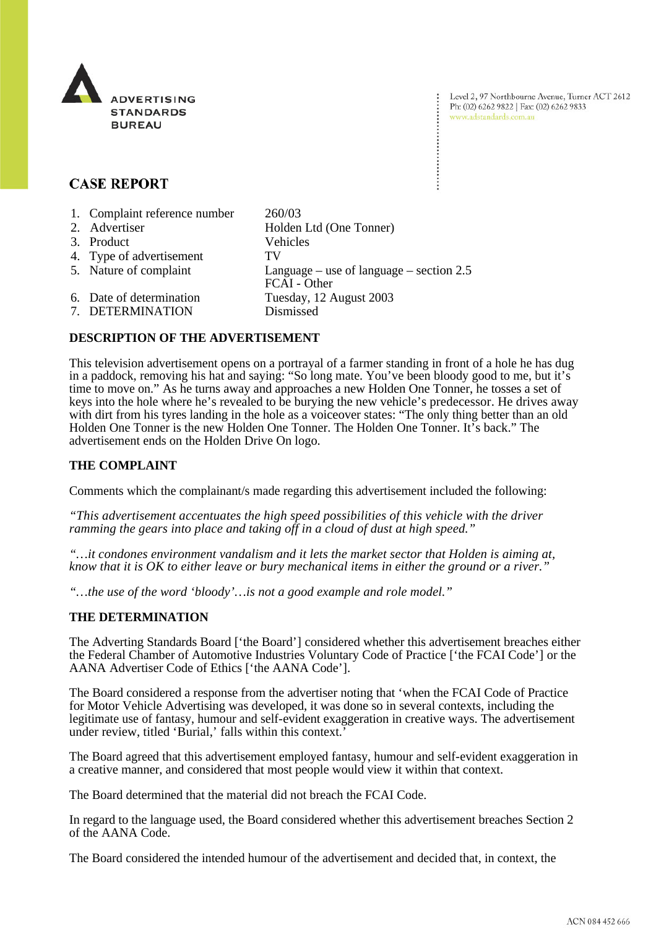

## **CASE REPORT**

| 1. Complaint reference number | 260/03                                                     |
|-------------------------------|------------------------------------------------------------|
| 2. Advertiser                 | Holden Ltd (One Tonner)                                    |
| 3. Product                    | Vehicles                                                   |
| 4. Type of advertisement      | TV                                                         |
| 5. Nature of complaint        | Language – use of language – section $2.5$<br>FCAI - Other |
| 6. Date of determination      | Tuesday, 12 August 2003                                    |
| 7. DETERMINATION              | Dismissed                                                  |

## **DESCRIPTION OF THE ADVERTISEMENT**

This television advertisement opens on a portrayal of a farmer standing in front of a hole he has dug in a paddock, removing his hat and saying: "So long mate. You've been bloody good to me, but it's time to move on." As he turns away and approaches a new Holden One Tonner, he tosses a set of keys into the hole where he's revealed to be burying the new vehicle's predecessor. He drives away with dirt from his tyres landing in the hole as a voiceover states: "The only thing better than an old Holden One Tonner is the new Holden One Tonner. The Holden One Tonner. It's back." The advertisement ends on the Holden Drive On logo.

## **THE COMPLAINT**

Comments which the complainant/s made regarding this advertisement included the following:

*"This advertisement accentuates the high speed possibilities of this vehicle with the driver ramming the gears into place and taking off in a cloud of dust at high speed."*

*"…it condones environment vandalism and it lets the market sector that Holden is aiming at, know that it is OK to either leave or bury mechanical items in either the ground or a river."*

*"…the use of the word 'bloody'…is not a good example and role model."*

## **THE DETERMINATION**

The Adverting Standards Board ['the Board'] considered whether this advertisement breaches either the Federal Chamber of Automotive Industries Voluntary Code of Practice ['the FCAI Code'] or the AANA Advertiser Code of Ethics ['the AANA Code'].

The Board considered a response from the advertiser noting that 'when the FCAI Code of Practice for Motor Vehicle Advertising was developed, it was done so in several contexts, including the legitimate use of fantasy, humour and self-evident exaggeration in creative ways. The advertisement under review, titled 'Burial,' falls within this context.'

The Board agreed that this advertisement employed fantasy, humour and self-evident exaggeration in a creative manner, and considered that most people would view it within that context.

The Board determined that the material did not breach the FCAI Code.

In regard to the language used, the Board considered whether this advertisement breaches Section 2 of the AANA Code.

The Board considered the intended humour of the advertisement and decided that, in context, the